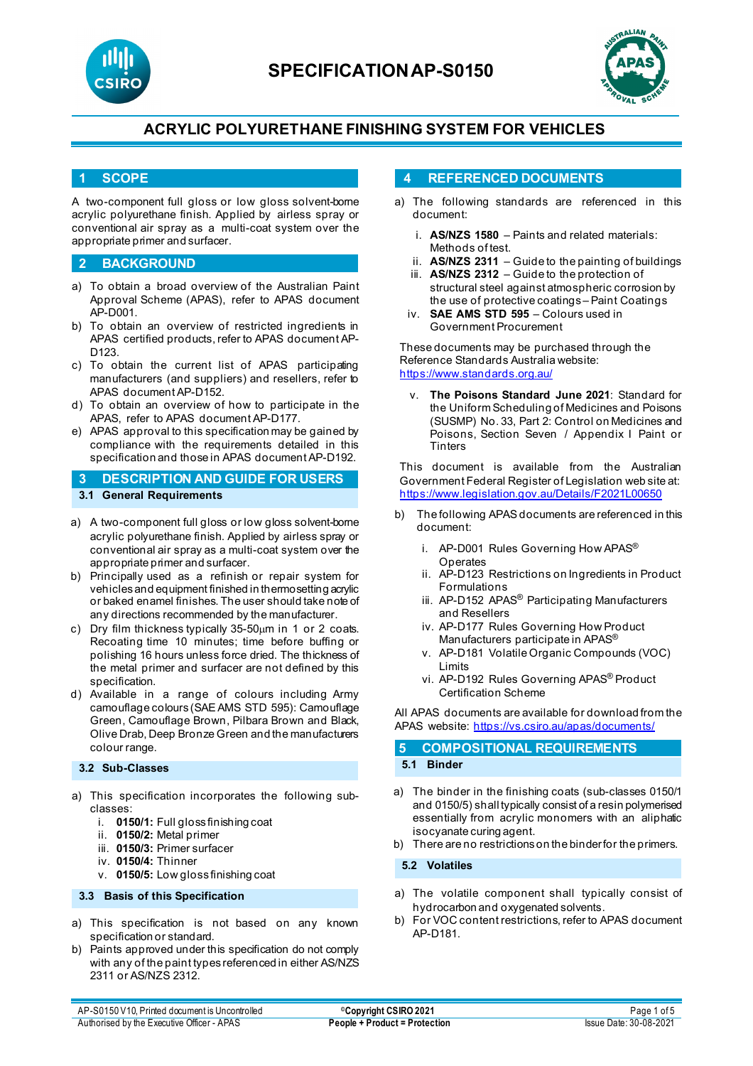



## **1 SCOPE**

A two-component full gloss or low gloss solvent-borne acrylic polyurethane finish. Applied by airless spray or conventional air spray as a multi-coat system over the appropriate primer and surfacer.

### **2 BACKGROUND**

- a) To obtain a broad overview of the Australian Paint Approval Scheme (APAS), refer to APAS document AP-D001.
- b) To obtain an overview of restricted ingredients in APAS certified products, refer to APAS document AP-D<sub>123</sub>
- c) To obtain the current list of APAS participating manufacturers (and suppliers) and resellers, refer to APAS document AP-D152.
- d) To obtain an overview of how to participate in the APAS, refer to APAS document AP-D177.
- e) APAS approval to this specification may be gained by compliance with the requirements detailed in this specification and those in APAS document AP-D192.

## **3 DESCRIPTION AND GUIDE FOR USERS 3.1 General Requirements**

- a) A two-component full gloss or low gloss solvent-borne acrylic polyurethane finish. Applied by airless spray or conventional air spray as a multi-coat system over the appropriate primer and surfacer.
- b) Principally used as a refinish or repair system for vehicles and equipment finished in thermosetting acrylic or baked enamel finishes. The user should take note of any directions recommended by the manufacturer.
- c) Dry film thickness typically 35-50um in 1 or 2 coats. Recoating time 10 minutes; time before buffing or polishing 16 hours unless force dried. The thickness of the metal primer and surfacer are not defined by this specification.
- d) Available in a range of colours including Army camouflage colours (SAE AMS STD 595): Camouflage Green, Camouflage Brown, Pilbara Brown and Black, Olive Drab, Deep Bronze Green and the manufacturers colour range.

### **3.2 Sub-Classes**

- a) This specification incorporates the following subclasses:
	- i. **0150/1:** Full gloss finishing coat
	- ii. **0150/2:** Metal primer
	- iii. **0150/3:** Primer surfacer
	- iv. **0150/4:** Thinner
	- v. **0150/5:** Low gloss finishing coat

#### **3.3 Basis of this Specification**

- a) This specification is not based on any known specification or standard.
- b) Paints approved under this specification do not comply with any of the paint types referenced in either AS/NZS 2311 or AS/NZS 2312.

## **4 REFERENCED DOCUMENTS**

- a) The following standards are referenced in this document:
	- i. **AS/NZS 1580** Paints and related materials: Methods of test.
	- ii. **AS/NZS 2311**  Guide to the painting of buildings
	- iii. **AS/NZS 2312**  Guide to the protection of structural steel against atmospheric corrosion by the use of protective coatings – Paint Coatings
	- iv. **SAE AMS STD 595** Colours used in Government Procurement

These documents may be purchased through the Reference Standards Australia website: <https://www.standards.org.au/>

**The Poisons Standard June 2021: Standard for** the Uniform Scheduling of Medicines and Poisons (SUSMP) No. 33, Part 2: Control on Medicines and Poisons, Section Seven / Appendix I Paint or **Tinters** 

This document is available from the Australian Government Federal Register of Legislation web site at: <https://www.legislation.gov.au/Details/F2021L00650>

- b) The following APAS documents are referenced in this document:
	- i. AP-D001 Rules Governing How APAS® **Operates**
	- ii. AP-D123 Restrictions on Ingredients in Product Formulations
	- iii. AP-D152 APAS<sup>®</sup> Participating Manufacturers and Resellers
	- iv. AP-D177 Rules Governing How Product Manufacturers participate in APAS®
	- v. AP-D181 Volatile Organic Compounds (VOC) Limits
	- vi. AP-D192 Rules Governing APAS® Product Certification Scheme

All APAS documents are available for download from the APAS website: <https://vs.csiro.au/apas/documents/>

#### **5 COMPOSITIONAL REQUIREMENTS 5.1 Binder**

- a) The binder in the finishing coats (sub-classes 0150/1 and 0150/5) shall typically consist of a resin polymerised essentially from acrylic monomers with an aliphatic isocyanate curing agent.
- b) There are no restrictions on the binder for the primers.

**5.2 Volatiles**

- a) The volatile component shall typically consist of hydrocarbon and oxygenated solvents.
- b) For VOC content restrictions, refer to APAS document AP-D181.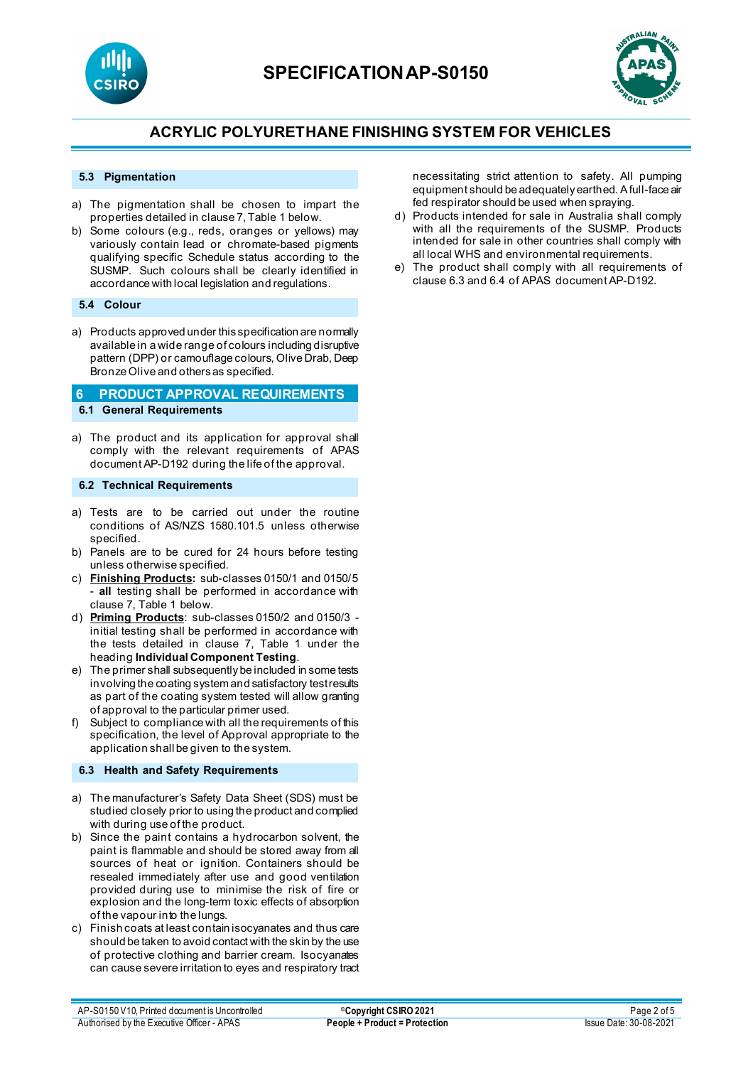



### **5.3 Pigmentation**

- a) The pigmentation shall be chosen to impart the properties detailed in clause 7, Table 1 below.
- b) Some colours (e.g., reds, oranges or yellows) may variously contain lead or chromate-based pigments qualifying specific Schedule status according to the SUSMP. Such colours shall be clearly identified in accordance with local legislation and regulations.

#### **5.4 Colour**

a) Products approved under this specification are normally available in a wide range of colours including disruptive pattern (DPP) or camouflage colours, Olive Drab, Deep Bronze Olive and others as specified.

## **6 PRODUCT APPROVAL REQUIREMENTS 6.1 General Requirements**

a) The product and its application for approval shall comply with the relevant requirements of APAS document AP-D192 during the life of the approval.

### **6.2 Technical Requirements**

- a) Tests are to be carried out under the routine conditions of AS/NZS 1580.101.5 unless otherwise specified.
- b) Panels are to be cured for 24 hours before testing unless otherwise specified.
- c) **Finishing Products:** sub-classes 0150/1 and 0150/5 all testing shall be performed in accordance with clause 7, Table 1 below.
- d) **Priming Products**: sub-classes 0150/2 and 0150/3 initial testing shall be performed in accordance with the tests detailed in clause 7, Table 1 under the heading **Individual Component Testing**.
- e) The primer shall subsequently be included in some tests involving the coating system and satisfactory test results as part of the coating system tested will allow granting of approval to the particular primer used.
- f) Subject to compliance with all the requirements of this specification, the level of Approval appropriate to the application shall be given to the system.

#### **6.3 Health and Safety Requirements**

- a) The manufacturer's Safety Data Sheet (SDS) must be studied closely prior to using the product and complied with during use of the product.
- b) Since the paint contains a hydrocarbon solvent, the paint is flammable and should be stored away from all sources of heat or ignition. Containers should be resealed immediately after use and good ventilation provided during use to minimise the risk of fire or explosion and the long-term toxic effects of absorption of the vapour into the lungs.
- c) Finish coats at least contain isocyanates and thus care should be taken to avoid contact with the skin by the use of protective clothing and barrier cream. Isocyanates can cause severe irritation to eyes and respiratory tract

necessitating strict attention to safety. All pumping equipment should be adequately earthed. A full-face air fed respirator should be used when spraying.

- d) Products intended for sale in Australia shall comply with all the requirements of the SUSMP. Products intended for sale in other countries shall comply with all local WHS and environmental requirements.
- e) The product shall comply with all requirements of clause 6.3 and 6.4 of APAS document AP-D192.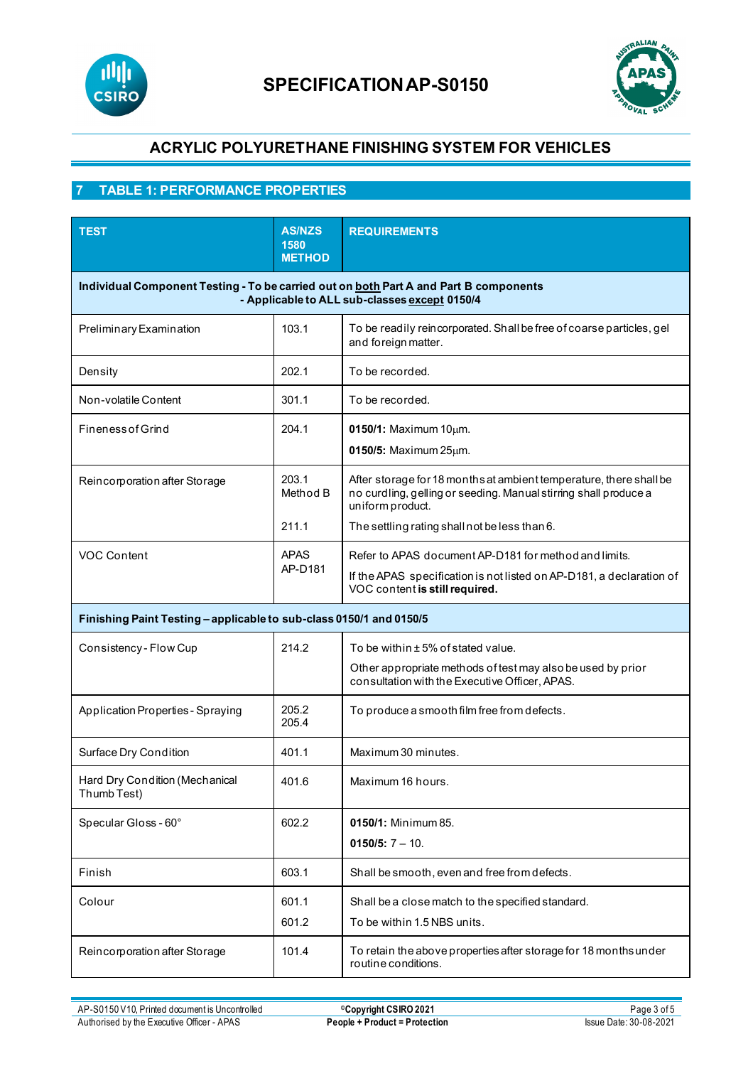



## **7 TABLE 1: PERFORMANCE PROPERTIES**

| <b>TEST</b>                                                                                                                            | <b>AS/NZS</b><br>1580<br><b>METHOD</b> | <b>REQUIREMENTS</b>                                                                                                                                             |  |  |
|----------------------------------------------------------------------------------------------------------------------------------------|----------------------------------------|-----------------------------------------------------------------------------------------------------------------------------------------------------------------|--|--|
| Individual Component Testing - To be carried out on both Part A and Part B components<br>- Applicable to ALL sub-classes except 0150/4 |                                        |                                                                                                                                                                 |  |  |
| Preliminary Examination                                                                                                                | 103.1                                  | To be readily reincorporated. Shall be free of coarse particles, gel<br>and foreign matter.                                                                     |  |  |
| Density                                                                                                                                | 202.1                                  | To be recorded.                                                                                                                                                 |  |  |
| Non-volatile Content                                                                                                                   | 301.1                                  | To be recorded.                                                                                                                                                 |  |  |
| <b>Fineness of Grind</b>                                                                                                               | 204.1                                  | $0150/1$ : Maximum 10 $\mu$ m.<br>$0150/5$ : Maximum $25 \mu m$ .                                                                                               |  |  |
| Reincorporation after Storage                                                                                                          | 203.1<br>Method B                      | After storage for 18 months at ambient temperature, there shall be<br>no curdling, gelling or seeding. Manual stirring shall produce a<br>uniform product.      |  |  |
|                                                                                                                                        | 211.1                                  | The settling rating shall not be less than 6.                                                                                                                   |  |  |
| <b>VOC Content</b>                                                                                                                     | <b>APAS</b><br>AP-D181                 | Refer to APAS document AP-D181 for method and limits.<br>If the APAS specification is not listed on AP-D181, a declaration of<br>VOC content is still required. |  |  |
| Finishing Paint Testing - applicable to sub-class 0150/1 and 0150/5                                                                    |                                        |                                                                                                                                                                 |  |  |
| Consistency - Flow Cup                                                                                                                 | 214.2                                  | To be within ± 5% of stated value.                                                                                                                              |  |  |
|                                                                                                                                        |                                        | Other appropriate methods of test may also be used by prior<br>consultation with the Executive Officer, APAS.                                                   |  |  |
| Application Properties - Spraying                                                                                                      | 205.2<br>205.4                         | To produce a smooth film free from defects.                                                                                                                     |  |  |
| Surface Dry Condition                                                                                                                  | 401.1                                  | Maximum 30 minutes.                                                                                                                                             |  |  |
| Hard Dry Condition (Mechanical<br>Thumb Test)                                                                                          | 401.6                                  | Maximum 16 hours.                                                                                                                                               |  |  |
| Specular Gloss - 60°                                                                                                                   | 602.2                                  | 0150/1: Minimum 85.<br>$0150/5$ : $7 - 10$ .                                                                                                                    |  |  |
| Finish                                                                                                                                 | 603.1                                  | Shall be smooth, even and free from defects.                                                                                                                    |  |  |
| Colour                                                                                                                                 | 601.1                                  | Shall be a close match to the specified standard.                                                                                                               |  |  |
|                                                                                                                                        | 601.2                                  | To be within 1.5 NBS units.                                                                                                                                     |  |  |
| Reincorporation after Storage                                                                                                          | 101.4                                  | To retain the above properties after storage for 18 months under<br>routine conditions.                                                                         |  |  |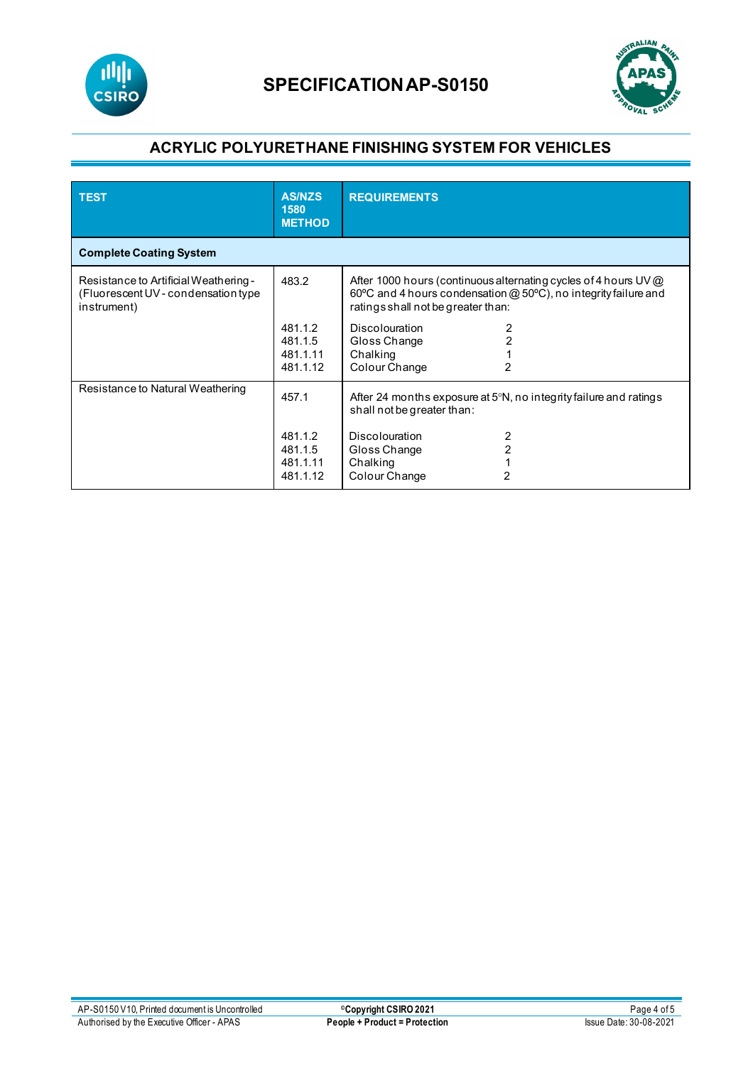



| <b>TEST</b>                                                                                  | <b>AS/NZS</b><br>1580<br><b>METHOD</b>     | <b>REQUIREMENTS</b>                                                                                                                                                      |  |  |
|----------------------------------------------------------------------------------------------|--------------------------------------------|--------------------------------------------------------------------------------------------------------------------------------------------------------------------------|--|--|
| <b>Complete Coating System</b>                                                               |                                            |                                                                                                                                                                          |  |  |
| Resistance to Artificial Weathering -<br>(Fluorescent UV - condensation type)<br>instrument) | 483.2                                      | After 1000 hours (continuous alternating cycles of 4 hours UV @<br>60°C and 4 hours condensation @ 50°C), no integrity failure and<br>ratings shall not be greater than: |  |  |
|                                                                                              | 481.1.2<br>481.1.5<br>481.1.11<br>481.1.12 | <b>Discolouration</b><br>2<br>2<br>Gloss Change<br>Chalking<br>Colour Change<br>2                                                                                        |  |  |
| Resistance to Natural Weathering                                                             | 457.1                                      | After 24 months exposure at $5^{\circ}$ N, no integrity failure and ratings<br>shall not be greater than:                                                                |  |  |
|                                                                                              | 481.1.2<br>481.1.5<br>481.1.11<br>481.1.12 | <b>Discolouration</b><br>2<br>2<br>Gloss Change<br>Chalking<br>Colour Change                                                                                             |  |  |